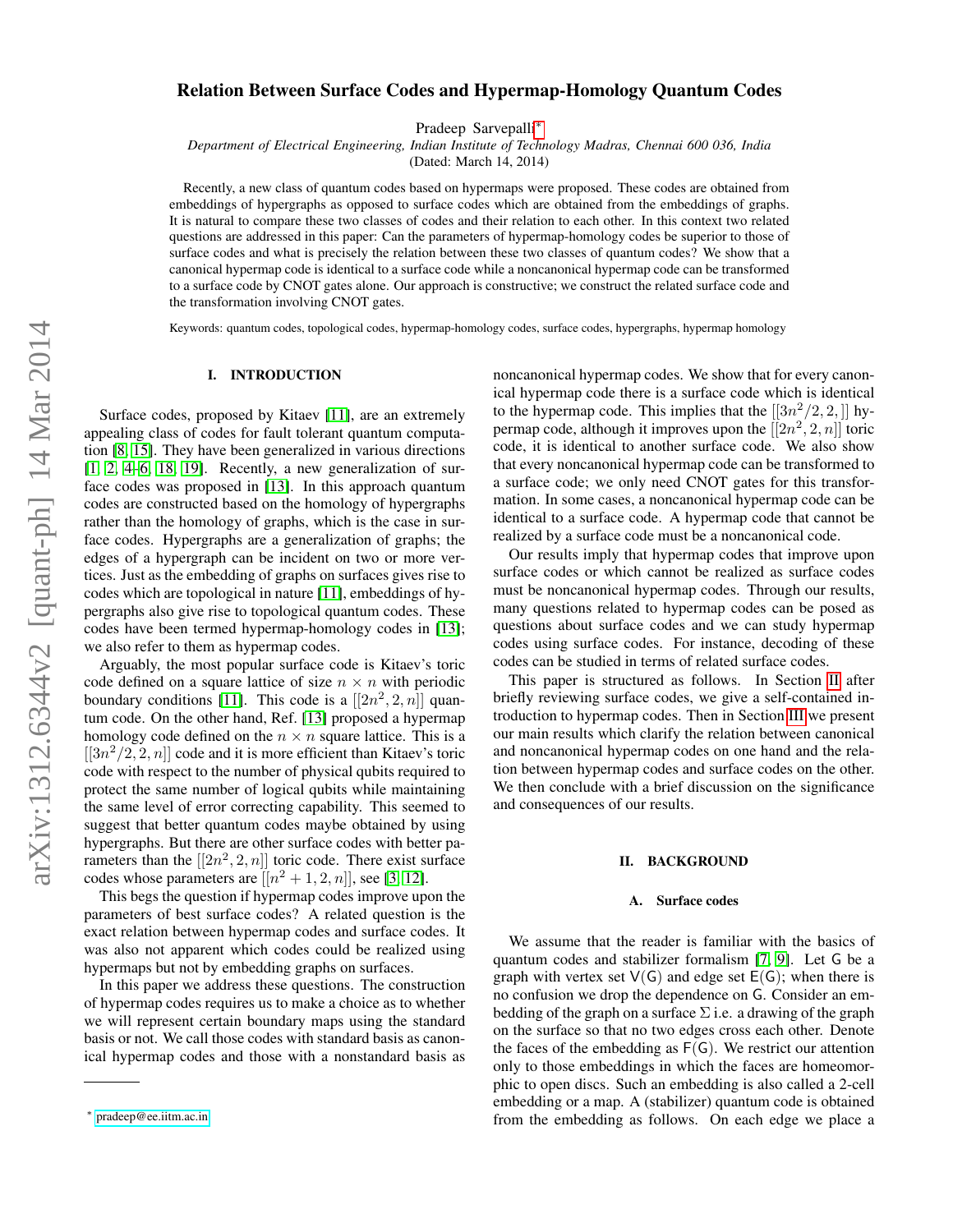# Relation Between Surface Codes and Hypermap-Homology Quantum Codes

Pradeep Sarvepalli[∗](#page-0-0)

*Department of Electrical Engineering, Indian Institute of Technology Madras, Chennai 600 036, India*

(Dated: March 14, 2014)

Recently, a new class of quantum codes based on hypermaps were proposed. These codes are obtained from embeddings of hypergraphs as opposed to surface codes which are obtained from the embeddings of graphs. It is natural to compare these two classes of codes and their relation to each other. In this context two related questions are addressed in this paper: Can the parameters of hypermap-homology codes be superior to those of surface codes and what is precisely the relation between these two classes of quantum codes? We show that a canonical hypermap code is identical to a surface code while a noncanonical hypermap code can be transformed to a surface code by CNOT gates alone. Our approach is constructive; we construct the related surface code and the transformation involving CNOT gates.

Keywords: quantum codes, topological codes, hypermap-homology codes, surface codes, hypergraphs, hypermap homology

# I. INTRODUCTION

Surface codes, proposed by Kitaev [\[11\]](#page-8-0), are an extremely appealing class of codes for fault tolerant quantum computation [\[8,](#page-8-1) [15\]](#page-8-2). They have been generalized in various directions [\[1,](#page-8-3) [2,](#page-8-4) [4](#page-8-5)[–6,](#page-8-6) [18,](#page-8-7) [19\]](#page-8-8). Recently, a new generalization of surface codes was proposed in [\[13\]](#page-8-9). In this approach quantum codes are constructed based on the homology of hypergraphs rather than the homology of graphs, which is the case in surface codes. Hypergraphs are a generalization of graphs; the edges of a hypergraph can be incident on two or more vertices. Just as the embedding of graphs on surfaces gives rise to codes which are topological in nature [\[11\]](#page-8-0), embeddings of hypergraphs also give rise to topological quantum codes. These codes have been termed hypermap-homology codes in [\[13\]](#page-8-9); we also refer to them as hypermap codes.

Arguably, the most popular surface code is Kitaev's toric code defined on a square lattice of size  $n \times n$  with periodic boundary conditions [\[11\]](#page-8-0). This code is a  $[[2n^2, 2, n]]$  quantum code. On the other hand, Ref. [\[13\]](#page-8-9) proposed a hypermap homology code defined on the  $n \times n$  square lattice. This is a  $[[3n^2/2, 2, n]]$  code and it is more efficient than Kitaev's toric code with respect to the number of physical qubits required to protect the same number of logical qubits while maintaining the same level of error correcting capability. This seemed to suggest that better quantum codes maybe obtained by using hypergraphs. But there are other surface codes with better parameters than the  $[[2n^2, 2, n]]$  toric code. There exist surface codes whose parameters are  $[[n^2 + 1, 2, n]],$  see [\[3,](#page-8-10) [12\]](#page-8-11).

This begs the question if hypermap codes improve upon the parameters of best surface codes? A related question is the exact relation between hypermap codes and surface codes. It was also not apparent which codes could be realized using hypermaps but not by embedding graphs on surfaces.

In this paper we address these questions. The construction of hypermap codes requires us to make a choice as to whether we will represent certain boundary maps using the standard basis or not. We call those codes with standard basis as canonical hypermap codes and those with a nonstandard basis as noncanonical hypermap codes. We show that for every canonical hypermap code there is a surface code which is identical to the hypermap code. This implies that the  $[[3n^2/2, 2, ]]$  hypermap code, although it improves upon the  $[[2n^2, 2, n]]$  toric code, it is identical to another surface code. We also show that every noncanonical hypermap code can be transformed to a surface code; we only need CNOT gates for this transformation. In some cases, a noncanonical hypermap code can be identical to a surface code. A hypermap code that cannot be realized by a surface code must be a noncanonical code.

Our results imply that hypermap codes that improve upon surface codes or which cannot be realized as surface codes must be noncanonical hypermap codes. Through our results, many questions related to hypermap codes can be posed as questions about surface codes and we can study hypermap codes using surface codes. For instance, decoding of these codes can be studied in terms of related surface codes.

This paper is structured as follows. In Section [II](#page-0-1) after briefly reviewing surface codes, we give a self-contained introduction to hypermap codes. Then in Section [III](#page-3-0) we present our main results which clarify the relation between canonical and noncanonical hypermap codes on one hand and the relation between hypermap codes and surface codes on the other. We then conclude with a brief discussion on the significance and consequences of our results.

## <span id="page-0-1"></span>II. BACKGROUND

### A. Surface codes

We assume that the reader is familiar with the basics of quantum codes and stabilizer formalism [\[7,](#page-8-12) [9\]](#page-8-13). Let G be a graph with vertex set  $V(G)$  and edge set  $E(G)$ ; when there is no confusion we drop the dependence on G. Consider an embedding of the graph on a surface  $\Sigma$  i.e. a drawing of the graph on the surface so that no two edges cross each other. Denote the faces of the embedding as  $F(G)$ . We restrict our attention only to those embeddings in which the faces are homeomorphic to open discs. Such an embedding is also called a 2-cell embedding or a map. A (stabilizer) quantum code is obtained from the embedding as follows. On each edge we place a

<span id="page-0-0"></span><sup>∗</sup> [pradeep@ee.iitm.ac.in](mailto:pradeep@ee.iitm.ac.in)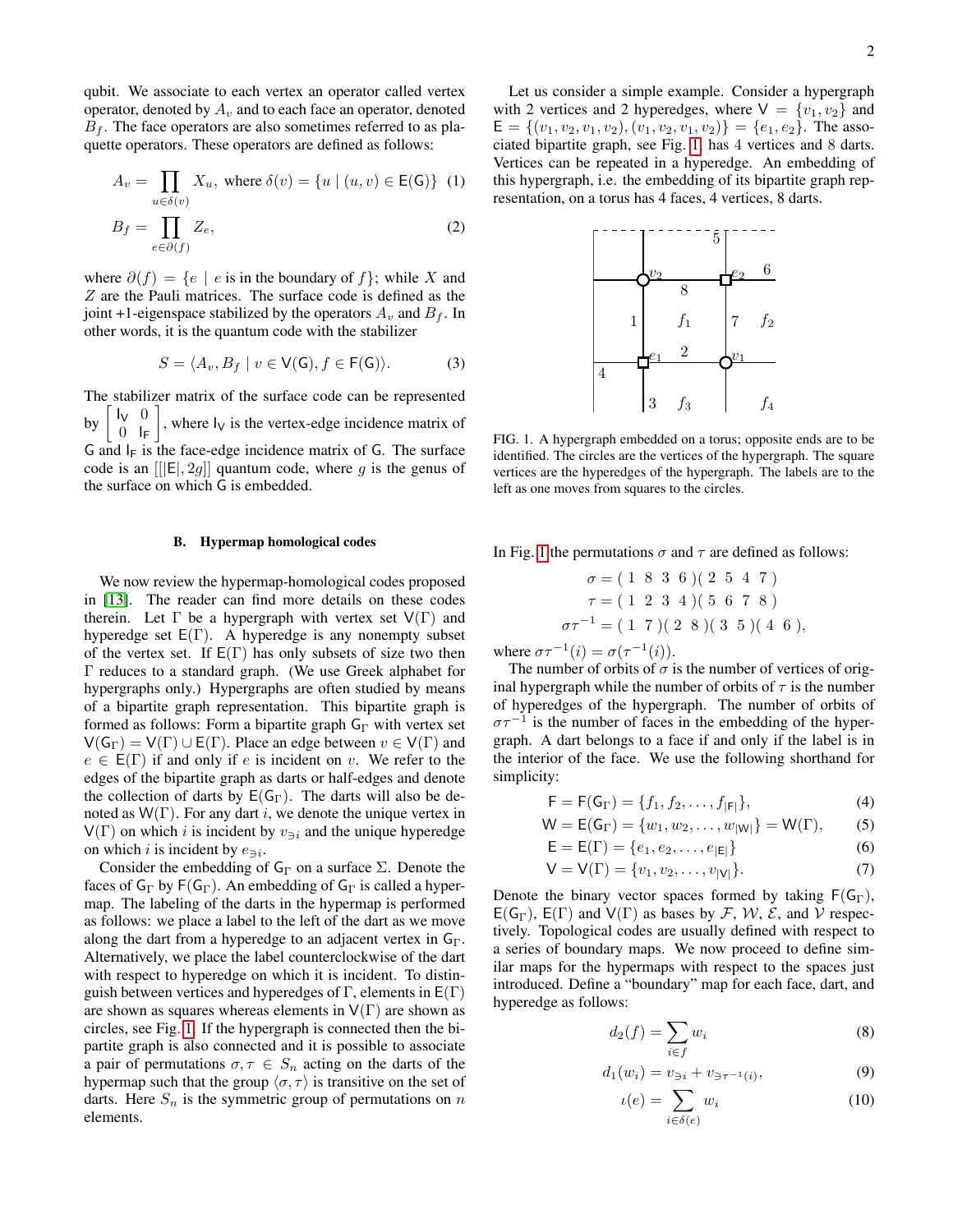qubit. We associate to each vertex an operator called vertex operator, denoted by  $A_v$  and to each face an operator, denoted  $B_f$ . The face operators are also sometimes referred to as plaquette operators. These operators are defined as follows:

<span id="page-1-1"></span>
$$
A_v = \prod_{u \in \delta(v)} X_u, \text{ where } \delta(v) = \{u \mid (u, v) \in \mathsf{E}(\mathsf{G})\} \tag{1}
$$

$$
B_f = \prod_{e \in \partial(f)} Z_e,\tag{2}
$$

where  $\partial(f) = \{e \mid e \text{ is in the boundary of } f\}$ ; while X and Z are the Pauli matrices. The surface code is defined as the joint +1-eigenspace stabilized by the operators  $A_v$  and  $B_f$ . In other words, it is the quantum code with the stabilizer

<span id="page-1-2"></span>
$$
S = \langle A_v, B_f \mid v \in V(G), f \in F(G) \rangle.
$$
 (3)

The stabilizer matrix of the surface code can be represented by  $\begin{bmatrix} \mathsf{I}_{\mathsf{V}} & 0 \\ 0 & \mathsf{I}_{\mathsf{V}} \end{bmatrix}$  $0 \text{ }$ I<sub>F</sub> , where  $I_V$  is the vertex-edge incidence matrix of G and  $I_F$  is the face-edge incidence matrix of G. The surface code is an  $[||E|, 2g||$  quantum code, where g is the genus of the surface on which G is embedded.

### B. Hypermap homological codes

We now review the hypermap-homological codes proposed in [\[13\]](#page-8-9). The reader can find more details on these codes therein. Let  $\Gamma$  be a hypergraph with vertex set  $V(\Gamma)$  and hyperedge set  $E(\Gamma)$ . A hyperedge is any nonempty subset of the vertex set. If  $E(\Gamma)$  has only subsets of size two then Γ reduces to a standard graph. (We use Greek alphabet for hypergraphs only.) Hypergraphs are often studied by means of a bipartite graph representation. This bipartite graph is formed as follows: Form a bipartite graph  $G_{\Gamma}$  with vertex set  $V(G_{\Gamma}) = V(\Gamma) \cup E(\Gamma)$ . Place an edge between  $v \in V(\Gamma)$  and  $e \in E(\Gamma)$  if and only if e is incident on v. We refer to the edges of the bipartite graph as darts or half-edges and denote the collection of darts by  $E(G_\Gamma)$ . The darts will also be denoted as  $W(\Gamma)$ . For any dart i, we denote the unique vertex in  $V(\Gamma)$  on which i is incident by  $v_{\ni i}$  and the unique hyperedge on which *i* is incident by  $e_{\ni i}$ .

Consider the embedding of  $G_{\Gamma}$  on a surface  $\Sigma$ . Denote the faces of  $G_{\Gamma}$  by  $F(G_{\Gamma})$ . An embedding of  $G_{\Gamma}$  is called a hypermap. The labeling of the darts in the hypermap is performed as follows: we place a label to the left of the dart as we move along the dart from a hyperedge to an adjacent vertex in  $G_{\Gamma}$ . Alternatively, we place the label counterclockwise of the dart with respect to hyperedge on which it is incident. To distinguish between vertices and hyperedges of  $\Gamma$ , elements in  $E(\Gamma)$ are shown as squares whereas elements in  $V(\Gamma)$  are shown as circles, see Fig. [1.](#page-1-0) If the hypergraph is connected then the bipartite graph is also connected and it is possible to associate a pair of permutations  $\sigma, \tau \in S_n$  acting on the darts of the hypermap such that the group  $\langle \sigma, \tau \rangle$  is transitive on the set of darts. Here  $S_n$  is the symmetric group of permutations on n elements.

Let us consider a simple example. Consider a hypergraph with 2 vertices and 2 hyperedges, where  $V = \{v_1, v_2\}$  and  $E = \{(v_1, v_2, v_1, v_2), (v_1, v_2, v_1, v_2)\} = \{e_1, e_2\}.$  The associated bipartite graph, see Fig. [1,](#page-1-0) has 4 vertices and 8 darts. Vertices can be repeated in a hyperedge. An embedding of this hypergraph, i.e. the embedding of its bipartite graph representation, on a torus has 4 faces, 4 vertices, 8 darts.



FIG. 1. A hypergraph embedded on a torus; opposite ends are to be identified. The circles are the vertices of the hypergraph. The square vertices are the hyperedges of the hypergraph. The labels are to the left as one moves from squares to the circles.

<span id="page-1-0"></span>In Fig. [1](#page-1-0) the permutations  $\sigma$  and  $\tau$  are defined as follows:

$$
\sigma = (1 \ 8 \ 3 \ 6)(2 \ 5 \ 4 \ 7)
$$
  

$$
\tau = (1 \ 2 \ 3 \ 4)(5 \ 6 \ 7 \ 8)
$$
  

$$
\sigma \tau^{-1} = (1 \ 7)(2 \ 8)(3 \ 5)(4 \ 6),
$$

where  $\sigma \tau^{-1}(i) = \sigma(\tau^{-1}(i)).$ 

The number of orbits of  $\sigma$  is the number of vertices of original hypergraph while the number of orbits of  $\tau$  is the number of hyperedges of the hypergraph. The number of orbits of  $\sigma \tau^{-1}$  is the number of faces in the embedding of the hypergraph. A dart belongs to a face if and only if the label is in the interior of the face. We use the following shorthand for simplicity:

$$
\mathsf{F} = \mathsf{F}(\mathsf{G}_{\Gamma}) = \{f_1, f_2, \dots, f_{|\mathsf{F}|}\},\tag{4}
$$

$$
W = E(G_{\Gamma}) = \{w_1, w_2, \dots, w_{|W|}\} = W(\Gamma), \quad (5)
$$

$$
\mathsf{E} = \mathsf{E}(\Gamma) = \{e_1, e_2, \dots, e_{|\mathsf{E}|}\}\tag{6}
$$

$$
V = V(\Gamma) = \{v_1, v_2, \dots, v_{|V|}\}.
$$
 (7)

Denote the binary vector spaces formed by taking  $F(G_\Gamma)$ ,  $E(G_{\Gamma})$ ,  $E(\Gamma)$  and  $V(\Gamma)$  as bases by F, W, E, and V respectively. Topological codes are usually defined with respect to a series of boundary maps. We now proceed to define similar maps for the hypermaps with respect to the spaces just introduced. Define a "boundary" map for each face, dart, and hyperedge as follows:

$$
d_2(f) = \sum_{i \in f} w_i \tag{8}
$$

$$
d_1(w_i) = v_{\ni i} + v_{\ni \tau^{-1}(i)},\tag{9}
$$

$$
\iota(e) = \sum_{i \in \delta(e)} w_i \tag{10}
$$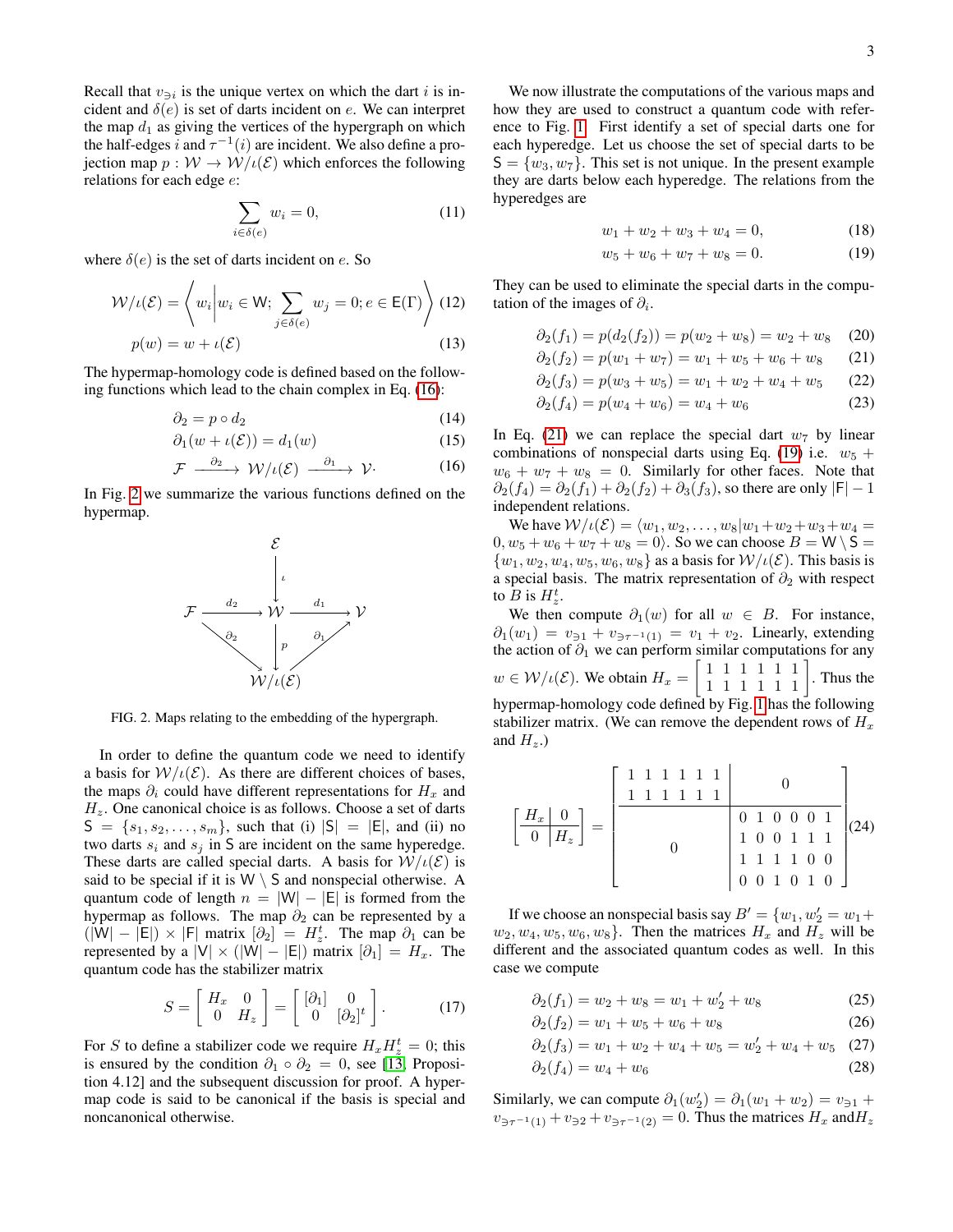Recall that  $v_{\ni i}$  is the unique vertex on which the dart i is incident and  $\delta(e)$  is set of darts incident on e. We can interpret the map  $d_1$  as giving the vertices of the hypergraph on which the half-edges i and  $\tau^{-1}(i)$  are incident. We also define a projection map  $p : W \to W/\iota(\mathcal{E})$  which enforces the following relations for each edge e:

<span id="page-2-4"></span>
$$
\sum_{i \in \delta(e)} w_i = 0,\tag{11}
$$

where  $\delta(e)$  is the set of darts incident on e. So

$$
\mathcal{W}/\iota(\mathcal{E}) = \left\langle w_i \middle| w_i \in \mathsf{W}; \sum_{j \in \delta(e)} w_j = 0; e \in \mathsf{E}(\Gamma) \right\rangle (12)
$$

$$
p(w) = w + \iota(\mathcal{E})
$$
(13)

The hypermap-homology code is defined based on the following functions which lead to the chain complex in Eq. [\(16\)](#page-2-0):

$$
\partial_2 = p \circ d_2 \tag{14}
$$

<span id="page-2-0"></span>
$$
\partial_1(w + \iota(\mathcal{E})) = d_1(w) \tag{15}
$$

$$
\mathcal{F} \xrightarrow{\partial_2} \mathcal{W}/\iota(\mathcal{E}) \xrightarrow{\partial_1} \mathcal{V}. \tag{16}
$$

In Fig. [2](#page-2-1) we summarize the various functions defined on the hypermap.



<span id="page-2-1"></span>FIG. 2. Maps relating to the embedding of the hypergraph.

In order to define the quantum code we need to identify a basis for  $W/t(\mathcal{E})$ . As there are different choices of bases, the maps  $\partial_i$  could have different representations for  $H_x$  and  $H<sub>z</sub>$ . One canonical choice is as follows. Choose a set of darts  $S = \{s_1, s_2, \ldots, s_m\}$ , such that (i)  $|S| = |E|$ , and (ii) no two darts  $s_i$  and  $s_j$  in S are incident on the same hyperedge. These darts are called special darts. A basis for  $W/\iota(\mathcal{E})$  is said to be special if it is  $W \setminus S$  and nonspecial otherwise. A quantum code of length  $n = |W| - |E|$  is formed from the hypermap as follows. The map  $\partial_2$  can be represented by a  $(|W| - |E|) \times |F|$  matrix  $[\partial_2] = H_z^t$ . The map  $\partial_1$  can be represented by a  $|V| \times (|W| - |E|)$  matrix  $|\partial_1| = H_x$ . The quantum code has the stabilizer matrix

$$
S = \begin{bmatrix} H_x & 0 \\ 0 & H_z \end{bmatrix} = \begin{bmatrix} [\partial_1] & 0 \\ 0 & [\partial_2]^t \end{bmatrix}.
$$
 (17)

For S to define a stabilizer code we require  $H_x H_z^t = 0$ ; this is ensured by the condition  $\partial_1 \circ \partial_2 = 0$ , see [\[13,](#page-8-9) Proposition 4.12] and the subsequent discussion for proof. A hypermap code is said to be canonical if the basis is special and noncanonical otherwise.

We now illustrate the computations of the various maps and how they are used to construct a quantum code with reference to Fig. [1.](#page-1-0) First identify a set of special darts one for each hyperedge. Let us choose the set of special darts to be  $S = \{w_3, w_7\}$ . This set is not unique. In the present example they are darts below each hyperedge. The relations from the hyperedges are

<span id="page-2-3"></span>
$$
w_1 + w_2 + w_3 + w_4 = 0,\t\t(18)
$$

$$
w_5 + w_6 + w_7 + w_8 = 0.\t(19)
$$

They can be used to eliminate the special darts in the computation of the images of  $\partial_i$ .

<span id="page-2-2"></span>
$$
\partial_2(f_1) = p(d_2(f_2)) = p(w_2 + w_8) = w_2 + w_8 \quad (20)
$$

$$
\partial_2(f_2) = p(w_1 + w_7) = w_1 + w_5 + w_6 + w_8 \qquad (21)
$$

$$
\partial_2(f_3) = p(w_3 + w_5) = w_1 + w_2 + w_4 + w_5 \qquad (22)
$$

$$
\partial_2(f_4) = p(w_4 + w_6) = w_4 + w_6 \tag{23}
$$

In Eq. [\(21\)](#page-2-2) we can replace the special dart  $w_7$  by linear combinations of nonspecial darts using Eq. [\(19\)](#page-2-3) i.e.  $w_5$  +  $w_6 + w_7 + w_8 = 0$ . Similarly for other faces. Note that  $\partial_2(f_4) = \partial_2(f_1) + \partial_2(f_2) + \partial_3(f_3)$ , so there are only  $|F| - 1$ independent relations.

We have  $W/\iota(\mathcal{E}) = \langle w_1, w_2, \dots, w_8|w_1+w_2+w_3+w_4 =$  $0, w_5 + w_6 + w_7 + w_8 = 0$ . So we can choose  $B = W \setminus S =$  $\{w_1, w_2, w_4, w_5, w_6, w_8\}$  as a basis for  $W/\iota(\mathcal{E})$ . This basis is a special basis. The matrix representation of  $\partial_2$  with respect to *B* is  $H_z^t$ .

We then compute  $\partial_1(w)$  for all  $w \in B$ . For instance,  $\partial_1(w_1) = v_{\ni1} + v_{\ni\tau^{-1}(1)} = v_1 + v_2$ . Linearly, extending the action of  $\partial_1$  we can perform similar computations for any  $w \in \mathcal{W}/\iota(\mathcal{E})$ . We obtain  $H_x = \begin{bmatrix} 1 & 1 & 1 & 1 & 1 \\ 1 & 1 & 1 & 1 & 1 \end{bmatrix}$ . Thus the hypermap-homology code defined by Fig. [1](#page-1-0) has the following stabilizer matrix. (We can remove the dependent rows of  $H_x$ and  $H_z$ .)

<span id="page-2-5"></span>
$$
\left[\frac{H_x}{0}\right]_H_z = \begin{bmatrix} 1 & 1 & 1 & 1 & 1 & 1 & 1 \\ 1 & 1 & 1 & 1 & 1 & 1 & 1 \\ & & & & & 0 & 1 & 0 & 0 & 1 \\ & & & & & & 1 & 0 & 0 & 0 & 1 \\ & & & & & & & 1 & 1 & 1 & 0 & 0 \\ & & & & & & & 1 & 1 & 1 & 1 & 0 & 0 \\ & & & & & & & 1 & 1 & 1 & 1 & 0 & 0 \\ & & & & & & & 0 & 1 & 0 & 1 & 0 \end{bmatrix} (24)
$$

If we choose an nonspecial basis say  $B' = \{w_1, w_2' = w_1 +$  $w_2, w_4, w_5, w_6, w_8$ . Then the matrices  $H_x$  and  $H_z$  will be different and the associated quantum codes as well. In this case we compute

$$
\partial_2(f_1) = w_2 + w_8 = w_1 + w'_2 + w_8 \tag{25}
$$

$$
\partial_2(f_2) = w_1 + w_5 + w_6 + w_8 \tag{26}
$$

$$
\partial_2(f_3) = w_1 + w_2 + w_4 + w_5 = w'_2 + w_4 + w_5 \quad (27)
$$

$$
\partial_2(f_4) = w_4 + w_6 \tag{28}
$$

Similarly, we can compute  $\partial_1(w_2') = \partial_1(w_1 + w_2) = v_{\partial_1} +$  $v_{\ni \tau^{-1}(1)} + v_{\ni 2} + v_{\ni \tau^{-1}(2)} = 0$ . Thus the matrices  $H_x$  and  $H_z$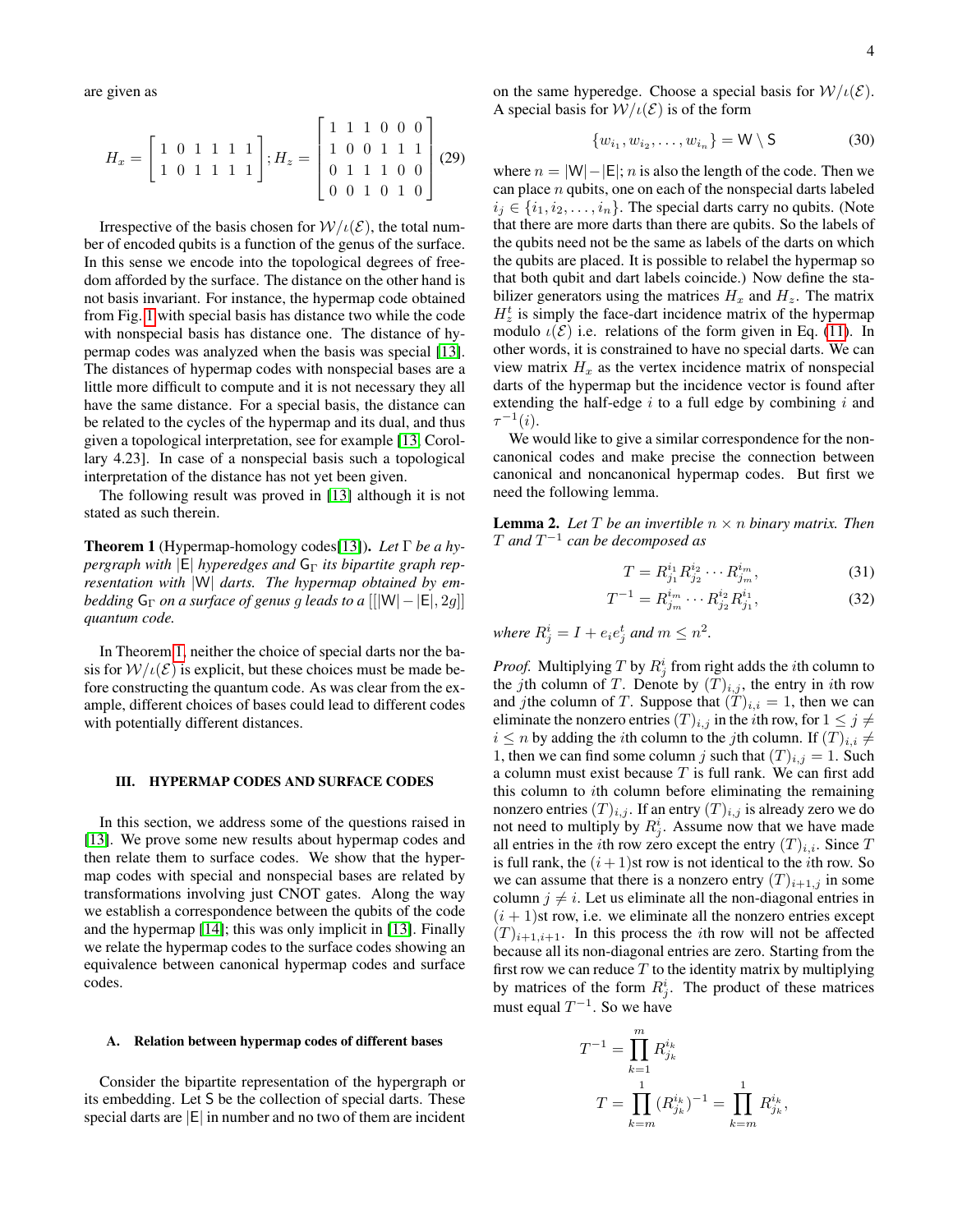are given as

$$
H_x = \begin{bmatrix} 1 & 0 & 1 & 1 & 1 & 1 \\ 1 & 0 & 1 & 1 & 1 & 1 \\ 1 & 0 & 1 & 1 & 1 & 1 \end{bmatrix}; H_z = \begin{bmatrix} 1 & 1 & 1 & 0 & 0 & 0 \\ 1 & 0 & 0 & 1 & 1 & 1 \\ 0 & 1 & 1 & 1 & 0 & 0 \\ 0 & 0 & 1 & 0 & 1 & 0 \end{bmatrix} \tag{29}
$$

Irrespective of the basis chosen for  $W/\iota(\mathcal{E})$ , the total number of encoded qubits is a function of the genus of the surface. In this sense we encode into the topological degrees of freedom afforded by the surface. The distance on the other hand is not basis invariant. For instance, the hypermap code obtained from Fig. [1](#page-1-0) with special basis has distance two while the code with nonspecial basis has distance one. The distance of hypermap codes was analyzed when the basis was special [\[13\]](#page-8-9). The distances of hypermap codes with nonspecial bases are a little more difficult to compute and it is not necessary they all have the same distance. For a special basis, the distance can be related to the cycles of the hypermap and its dual, and thus given a topological interpretation, see for example [\[13,](#page-8-9) Corollary 4.23]. In case of a nonspecial basis such a topological interpretation of the distance has not yet been given.

The following result was proved in [\[13\]](#page-8-9) although it is not stated as such therein.

<span id="page-3-1"></span>Theorem 1 (Hypermap-homology codes[\[13\]](#page-8-9)). *Let* Γ *be a hypergraph with*  $|E|$  *hyperedges and*  $G<sub>Γ</sub>$  *its bipartite graph representation with* |W| *darts. The hypermap obtained by embedding*  $G_{\Gamma}$  *on a surface of genus g leads to a* [[ $|W| - |E|$ , 2g]] *quantum code.*

In Theorem [1,](#page-3-1) neither the choice of special darts nor the basis for  $W/t(\mathcal{E})$  is explicit, but these choices must be made before constructing the quantum code. As was clear from the example, different choices of bases could lead to different codes with potentially different distances.

### <span id="page-3-0"></span>III. HYPERMAP CODES AND SURFACE CODES

In this section, we address some of the questions raised in [\[13\]](#page-8-9). We prove some new results about hypermap codes and then relate them to surface codes. We show that the hypermap codes with special and nonspecial bases are related by transformations involving just CNOT gates. Along the way we establish a correspondence between the qubits of the code and the hypermap [\[14\]](#page-8-14); this was only implicit in [\[13\]](#page-8-9). Finally we relate the hypermap codes to the surface codes showing an equivalence between canonical hypermap codes and surface codes.

#### A. Relation between hypermap codes of different bases

Consider the bipartite representation of the hypergraph or its embedding. Let S be the collection of special darts. These special darts are  $|E|$  in number and no two of them are incident on the same hyperedge. Choose a special basis for  $W/\iota(\mathcal{E})$ . A special basis for  $W/\iota(\mathcal{E})$  is of the form

<span id="page-3-3"></span>
$$
\{w_{i_1}, w_{i_2}, \dots, w_{i_n}\} = \mathsf{W} \setminus \mathsf{S} \tag{30}
$$

where  $n = |W| - |E|$ ; n is also the length of the code. Then we can place  $n$  qubits, one on each of the nonspecial darts labeled  $i_j \in \{i_1, i_2, \ldots, i_n\}$ . The special darts carry no qubits. (Note that there are more darts than there are qubits. So the labels of the qubits need not be the same as labels of the darts on which the qubits are placed. It is possible to relabel the hypermap so that both qubit and dart labels coincide.) Now define the stabilizer generators using the matrices  $H_x$  and  $H_z$ . The matrix  $H_z^t$  is simply the face-dart incidence matrix of the hypermap modulo  $\iota(\mathcal{E})$  i.e. relations of the form given in Eq. [\(11\)](#page-2-4). In other words, it is constrained to have no special darts. We can view matrix  $H_x$  as the vertex incidence matrix of nonspecial darts of the hypermap but the incidence vector is found after extending the half-edge  $i$  to a full edge by combining  $i$  and  $\tau^{-1}(i)$ .

We would like to give a similar correspondence for the noncanonical codes and make precise the connection between canonical and noncanonical hypermap codes. But first we need the following lemma.

<span id="page-3-4"></span>**Lemma 2.** Let  $T$  be an invertible  $n \times n$  binary matrix. Then  $T$  and  $T^{-1}$  can be decomposed as

<span id="page-3-2"></span>
$$
T = R_{j_1}^{i_1} R_{j_2}^{i_2} \cdots R_{j_m}^{i_m},\tag{31}
$$

$$
T^{-1} = R_{j_m}^{i_m} \cdots R_{j2}^{i_2} R_{j_1}^{i_1},\tag{32}
$$

where  $R^i_j = I + e_i e_j^t$  and  $m \leq n^2$ .

*Proof.* Multiplying T by  $R_j^i$  from right adds the *i*th column to the jth column of T. Denote by  $(T)_{i,j}$ , the entry in ith row and *j*the column of T. Suppose that  $(T)_{i,i} = 1$ , then we can eliminate the nonzero entries  $(T)_{i,j}$  in the *i*th row, for  $1 \leq j \neq j$  $i \leq n$  by adding the *i*th column to the *j*th column. If  $(T)_{i,i} \neq$ 1, then we can find some column j such that  $(T)_{i,j} = 1$ . Such a column must exist because  $T$  is full rank. We can first add this column to ith column before eliminating the remaining nonzero entries  $(T)_{i,j}$ . If an entry  $(T)_{i,j}$  is already zero we do not need to multiply by  $R_j^i$ . Assume now that we have made all entries in the *i*th row zero except the entry  $(T)_{i,i}$ . Since T is full rank, the  $(i + 1)$ st row is not identical to the *i*th row. So we can assume that there is a nonzero entry  $(T)_{i+1,j}$  in some column  $j \neq i$ . Let us eliminate all the non-diagonal entries in  $(i + 1)$ st row, i.e. we eliminate all the nonzero entries except  $(T)_{i+1,i+1}$ . In this process the *i*th row will not be affected because all its non-diagonal entries are zero. Starting from the first row we can reduce  $T$  to the identity matrix by multiplying by matrices of the form  $R_j^i$ . The product of these matrices must equal  $T^{-1}$ . So we have

$$
T^{-1} = \prod_{k=1}^{m} R_{j_k}^{i_k}
$$
  

$$
T = \prod_{k=m}^{1} (R_{j_k}^{i_k})^{-1} = \prod_{k=m}^{1} R_{j_k}^{i_k},
$$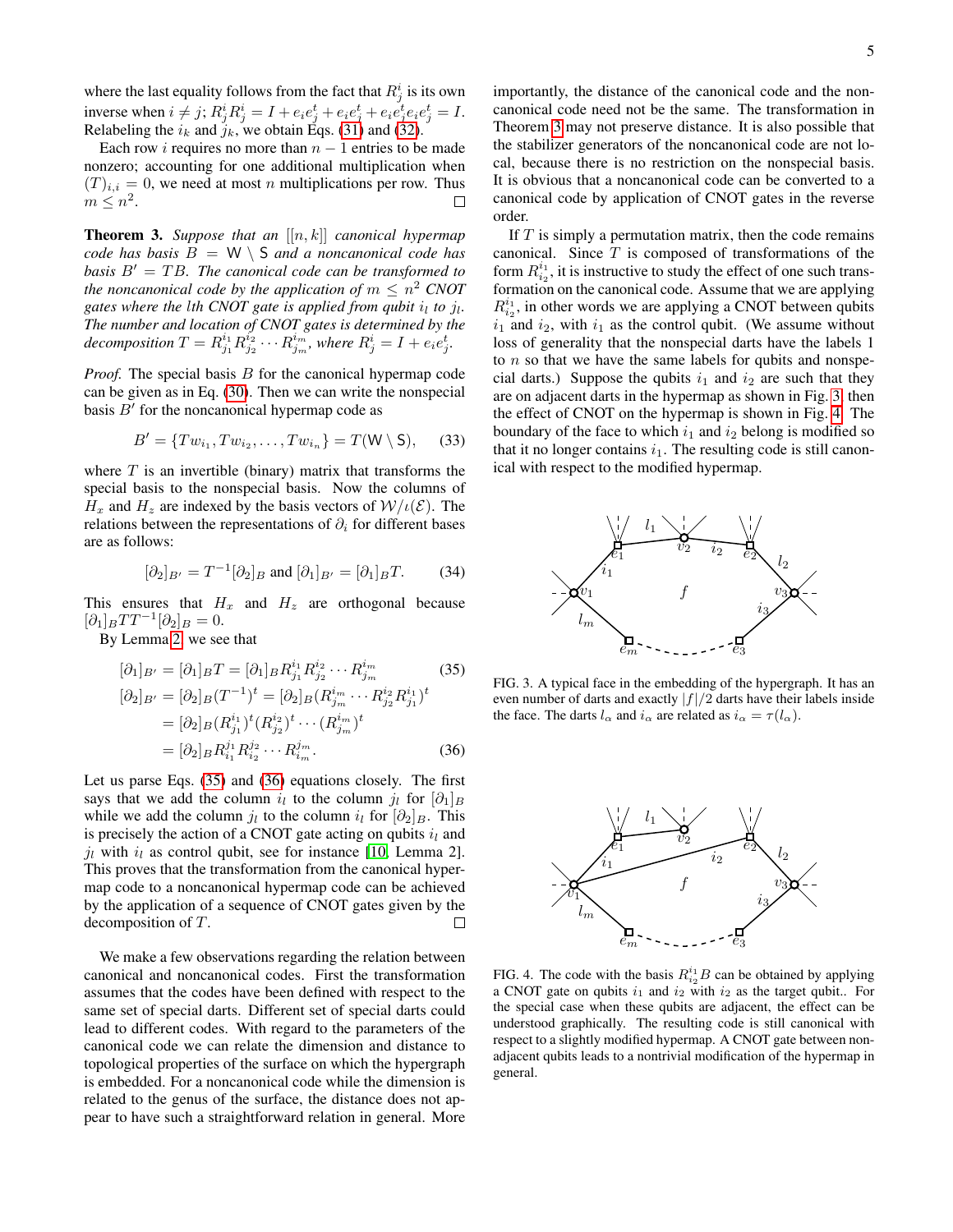where the last equality follows from the fact that  $R_j^i$  is its own inverse when  $i \neq j$ ;  $R_j^i R_j^i = I + e_i e_j^t + e_i e_j^t + e_i e_j^t e_i e_j^t = I$ . Relabeling the  $i_k$  and  $j_k$ , we obtain Eqs. [\(31\)](#page-3-2) and [\(32\)](#page-3-2).

Each row *i* requires no more than  $n - 1$  entries to be made nonzero; accounting for one additional multiplication when  $(T)_{i,i} = 0$ , we need at most n multiplications per row. Thus  $m \leq n^2$ .  $\Box$ 

<span id="page-4-1"></span>Theorem 3. *Suppose that an* [[n, k]] *canonical hypermap code has basis*  $B = W \setminus S$  *and a noncanonical code has basis*  $B' = TB$ *. The canonical code can be transformed to the noncanonical code by the application of*  $m \leq n^2$  *CNOT* gates where the lth CNOT gate is applied from qubit  $i_l$  to  $j_l$ . *The number and location of CNOT gates is determined by the*  $decomposition$   $T = R^{i_1}_{j_1} R^{i_2}_{j_2} \cdots R^{i_m}_{j_m}$ , where  $R^{i}_j = I + e_i e^t_j$ .

*Proof.* The special basis B for the canonical hypermap code can be given as in Eq. [\(30\)](#page-3-3). Then we can write the nonspecial basis  $B'$  for the noncanonical hypermap code as

$$
B' = \{Tw_{i_1}, Tw_{i_2}, \dots, Tw_{i_n}\} = T(W \setminus S), \quad (33)
$$

where  $T$  is an invertible (binary) matrix that transforms the special basis to the nonspecial basis. Now the columns of  $H_x$  and  $H_z$  are indexed by the basis vectors of  $W/\iota(\mathcal{E})$ . The relations between the representations of  $\partial_i$  for different bases are as follows:

$$
[\partial_2]_{B'} = T^{-1} [\partial_2]_B \text{ and } [\partial_1]_{B'} = [\partial_1]_B T. \tag{34}
$$

This ensures that  $H_x$  and  $H_z$  are orthogonal because  $[\partial_1]_BT T^{-1} [\partial_2]_B = 0.$ 

By Lemma [2,](#page-3-4) we see that

<span id="page-4-0"></span>
$$
[\partial_1]_{B'} = [\partial_1]_B T = [\partial_1]_B R_{j_1}^{i_1} R_{j_2}^{i_2} \cdots R_{j_m}^{i_m}
$$
(35)  
\n
$$
[\partial_2]_{B'} = [\partial_2]_B (T^{-1})^t = [\partial_2]_B (R_{j_m}^{i_m} \cdots R_{j_2}^{i_2} R_{j_1}^{i_1})^t
$$
  
\n
$$
= [\partial_2]_B (R_{j_1}^{i_1})^t (R_{j_2}^{i_2})^t \cdots (R_{j_m}^{i_m})^t
$$
  
\n
$$
= [\partial_2]_B R_{i_1}^{j_1} R_{i_2}^{j_2} \cdots R_{i_m}^{j_m}.
$$
(36)

Let us parse Eqs. [\(35\)](#page-4-0) and [\(36\)](#page-4-0) equations closely. The first says that we add the column  $i_l$  to the column  $j_l$  for  $[\partial_1]_B$ while we add the column  $j_l$  to the column  $i_l$  for  $[\partial_2]_B$ . This is precisely the action of a CNOT gate acting on qubits  $i_l$  and  $j_l$  with  $i_l$  as control qubit, see for instance [\[10,](#page-8-15) Lemma 2]. This proves that the transformation from the canonical hypermap code to a noncanonical hypermap code can be achieved by the application of a sequence of CNOT gates given by the decomposition of T.  $\Box$ 

We make a few observations regarding the relation between canonical and noncanonical codes. First the transformation assumes that the codes have been defined with respect to the same set of special darts. Different set of special darts could lead to different codes. With regard to the parameters of the canonical code we can relate the dimension and distance to topological properties of the surface on which the hypergraph is embedded. For a noncanonical code while the dimension is related to the genus of the surface, the distance does not appear to have such a straightforward relation in general. More

importantly, the distance of the canonical code and the noncanonical code need not be the same. The transformation in Theorem [3](#page-4-1) may not preserve distance. It is also possible that the stabilizer generators of the noncanonical code are not local, because there is no restriction on the nonspecial basis. It is obvious that a noncanonical code can be converted to a canonical code by application of CNOT gates in the reverse order.

If  $T$  is simply a permutation matrix, then the code remains canonical. Since  $T$  is composed of transformations of the form  $R_{i_2}^{i_1}$ , it is instructive to study the effect of one such transformation on the canonical code. Assume that we are applying  $R_{i_2}^{i_1}$ , in other words we are applying a CNOT between qubits  $i_1$  and  $i_2$ , with  $i_1$  as the control qubit. (We assume without loss of generality that the nonspecial darts have the labels 1 to  $n$  so that we have the same labels for qubits and nonspecial darts.) Suppose the qubits  $i_1$  and  $i_2$  are such that they are on adjacent darts in the hypermap as shown in Fig. [3,](#page-4-2) then the effect of CNOT on the hypermap is shown in Fig. [4.](#page-4-3) The boundary of the face to which  $i_1$  and  $i_2$  belong is modified so that it no longer contains  $i_1$ . The resulting code is still canonical with respect to the modified hypermap.



<span id="page-4-2"></span>FIG. 3. A typical face in the embedding of the hypergraph. It has an even number of darts and exactly  $|f|/2$  darts have their labels inside the face. The darts  $l_{\alpha}$  and  $i_{\alpha}$  are related as  $i_{\alpha} = \tau(l_{\alpha})$ .



<span id="page-4-3"></span>FIG. 4. The code with the basis  $R_{i_2}^{i_1}B$  can be obtained by applying a CNOT gate on qubits  $i_1$  and  $i_2$  with  $i_2$  as the target qubit.. For the special case when these qubits are adjacent, the effect can be understood graphically. The resulting code is still canonical with respect to a slightly modified hypermap. A CNOT gate between nonadjacent qubits leads to a nontrivial modification of the hypermap in general.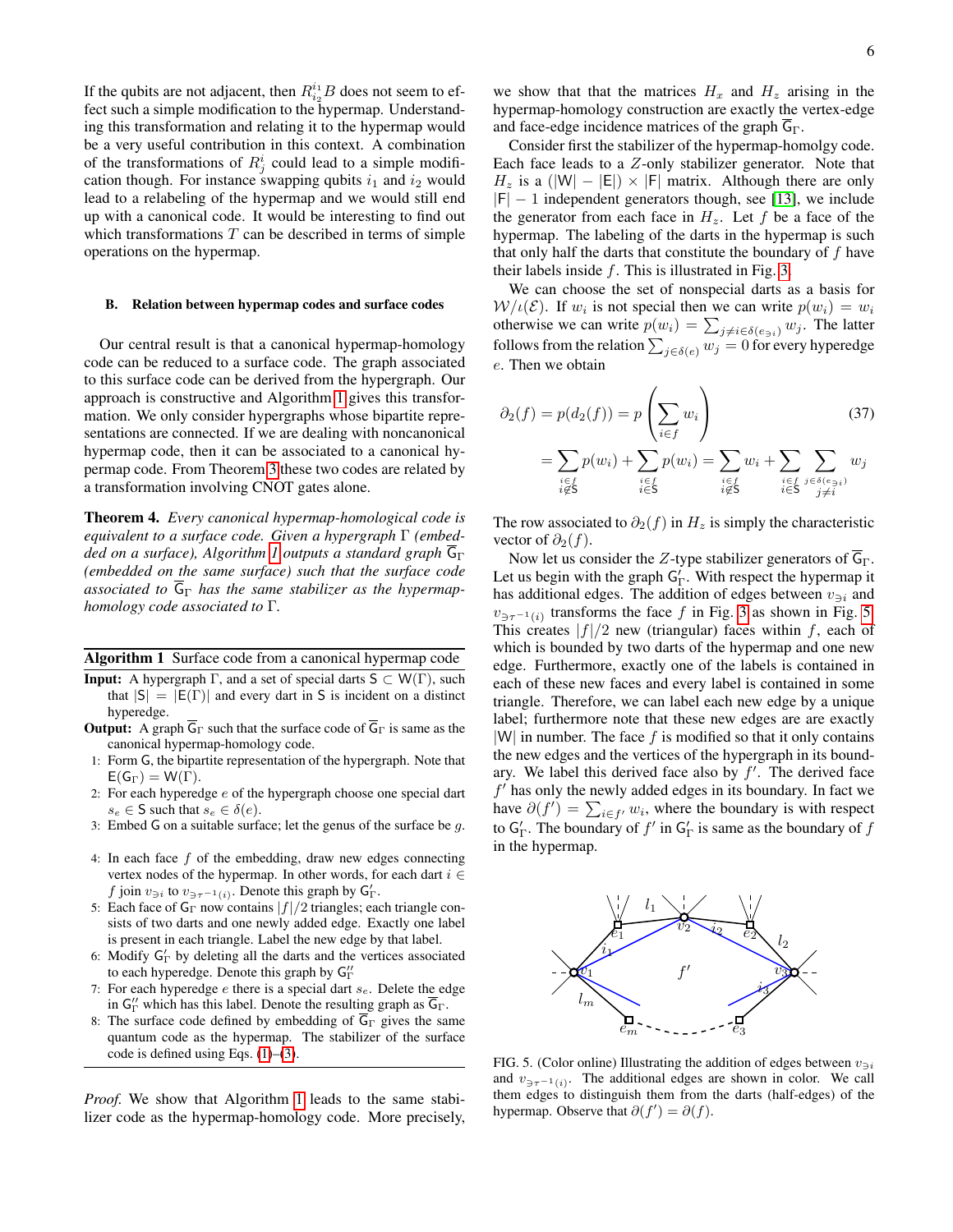If the qubits are not adjacent, then  $R_{i_2}^{i_1}B$  does not seem to effect such a simple modification to the hypermap. Understanding this transformation and relating it to the hypermap would be a very useful contribution in this context. A combination of the transformations of  $R_j^i$  could lead to a simple modification though. For instance swapping qubits  $i_1$  and  $i_2$  would lead to a relabeling of the hypermap and we would still end up with a canonical code. It would be interesting to find out which transformations  $T$  can be described in terms of simple operations on the hypermap.

### B. Relation between hypermap codes and surface codes

Our central result is that a canonical hypermap-homology code can be reduced to a surface code. The graph associated to this surface code can be derived from the hypergraph. Our approach is constructive and Algorithm [1](#page-5-0) gives this transformation. We only consider hypergraphs whose bipartite representations are connected. If we are dealing with noncanonical hypermap code, then it can be associated to a canonical hypermap code. From Theorem [3](#page-4-1) these two codes are related by a transformation involving CNOT gates alone.

<span id="page-5-3"></span>Theorem 4. *Every canonical hypermap-homological code is equivalent to a surface code. Given a hypergraph* Γ *(embed-ded on a surface), Algorithm [1](#page-5-0) outputs a standard graph*  $G_{\Gamma}$ *(embedded on the same surface) such that the surface code* associated to  $\overline{G}_{\Gamma}$  has the same stabilizer as the hypermap*homology code associated to* Γ*.*

<span id="page-5-0"></span>Algorithm 1 Surface code from a canonical hypermap code

- **Input:** A hypergraph  $\Gamma$ , and a set of special darts  $S \subset W(\Gamma)$ , such that  $|S| = |E(\Gamma)|$  and every dart in S is incident on a distinct hyperedge.
- **Output:** A graph  $\overline{G}_{\Gamma}$  such that the surface code of  $\overline{G}_{\Gamma}$  is same as the canonical hypermap-homology code.
- 1: Form G, the bipartite representation of the hypergraph. Note that  $E(G_{\Gamma}) = W(\Gamma)$ .
- 2: For each hyperedge  $e$  of the hypergraph choose one special dart  $s_e \in \mathsf{S}$  such that  $s_e \in \delta(e)$ .
- 3: Embed G on a suitable surface; let the genus of the surface be  $g$ .
- 4: In each face  $f$  of the embedding, draw new edges connecting vertex nodes of the hypermap. In other words, for each dart  $i \in$ f join  $v_{\ni i}$  to  $v_{\ni \tau^{-1}(i)}$ . Denote this graph by  $G'_{\Gamma}$ .
- 5: Each face of  $G_{\Gamma}$  now contains  $|f|/2$  triangles; each triangle consists of two darts and one newly added edge. Exactly one label is present in each triangle. Label the new edge by that label.
- 6: Modify  $G'_{\Gamma}$  by deleting all the darts and the vertices associated to each hyperedge. Denote this graph by  $G''_{\Gamma}$
- 7: For each hyperedge  $e$  there is a special dart  $s_e$ . Delete the edge in  $G''_{\Gamma}$  which has this label. Denote the resulting graph as  $\overline{G}_{\Gamma}$ .
- 8: The surface code defined by embedding of  $G_{\Gamma}$  gives the same quantum code as the hypermap. The stabilizer of the surface code is defined using Eqs. [\(1\)](#page-1-1)–[\(3\)](#page-1-2).

*Proof.* We show that Algorithm [1](#page-5-0) leads to the same stabilizer code as the hypermap-homology code. More precisely,

we show that that the matrices  $H_x$  and  $H_z$  arising in the hypermap-homology construction are exactly the vertex-edge and face-edge incidence matrices of the graph  $\overline{G}_{\Gamma}$ .

Consider first the stabilizer of the hypermap-homolgy code. Each face leads to a Z-only stabilizer generator. Note that  $H_z$  is a (|W| – |E|)  $\times$  |F| matrix. Although there are only  $|F| - 1$  independent generators though, see [\[13\]](#page-8-9), we include the generator from each face in  $H_z$ . Let f be a face of the hypermap. The labeling of the darts in the hypermap is such that only half the darts that constitute the boundary of f have their labels inside  $f$ . This is illustrated in Fig. [3.](#page-4-2)

We can choose the set of nonspecial darts as a basis for  $W/\iota(\mathcal{E})$ . If  $w_i$  is not special then we can write  $p(w_i) = w_i$ otherwise we can write  $p(w_i) = \sum_{j \neq i \in \delta(e_{\ni i})} w_j$ . The latter follows from the relation  $\sum_{j \in \delta(e)} w_j = 0$  for every hyperedge e. Then we obtain

<span id="page-5-2"></span>
$$
\partial_2(f) = p(d_2(f)) = p\left(\sum_{i \in f} w_i\right) \tag{37}
$$
\n
$$
= \sum_{\substack{i \in f \\ i \notin S}} p(w_i) + \sum_{\substack{i \in f \\ i \in S}} p(w_i) = \sum_{\substack{i \in f \\ i \notin S}} w_i + \sum_{\substack{i \in f \\ i \in S}} \sum_{\substack{i \in i \in \delta(e_{\ni i}) \\ j \neq i}} w_j
$$

The row associated to  $\partial_2(f)$  in  $H_z$  is simply the characteristic vector of  $\partial_2(f)$ .

Now let us consider the Z-type stabilizer generators of  $\overline{G_{\Gamma}}$ . Let us begin with the graph  $G'_{\Gamma}$ . With respect the hypermap it has additional edges. The addition of edges between  $v_{\ni i}$  and  $v_{\frac{3}{7}-1(i)}$  transforms the face f in Fig. [3](#page-4-2) as shown in Fig. [5.](#page-5-1) This creates  $|f|/2$  new (triangular) faces within f, each of which is bounded by two darts of the hypermap and one new edge. Furthermore, exactly one of the labels is contained in each of these new faces and every label is contained in some triangle. Therefore, we can label each new edge by a unique label; furthermore note that these new edges are are exactly  $|W|$  in number. The face f is modified so that it only contains the new edges and the vertices of the hypergraph in its boundary. We label this derived face also by  $f'$ . The derived face  $f'$  has only the newly added edges in its boundary. In fact we have  $\partial(f') = \sum_{i \in f'} w_i$ , where the boundary is with respect to  $G'_{\Gamma}$ . The boundary of  $f'$  in  $G'_{\Gamma}$  is same as the boundary of  $f$ in the hypermap.



<span id="page-5-1"></span>FIG. 5. (Color online) Illustrating the addition of edges between  $v_{\ni i}$ and  $v_{\ni \tau^{-1}(i)}$ . The additional edges are shown in color. We call them edges to distinguish them from the darts (half-edges) of the hypermap. Observe that  $\partial(f') = \partial(f)$ .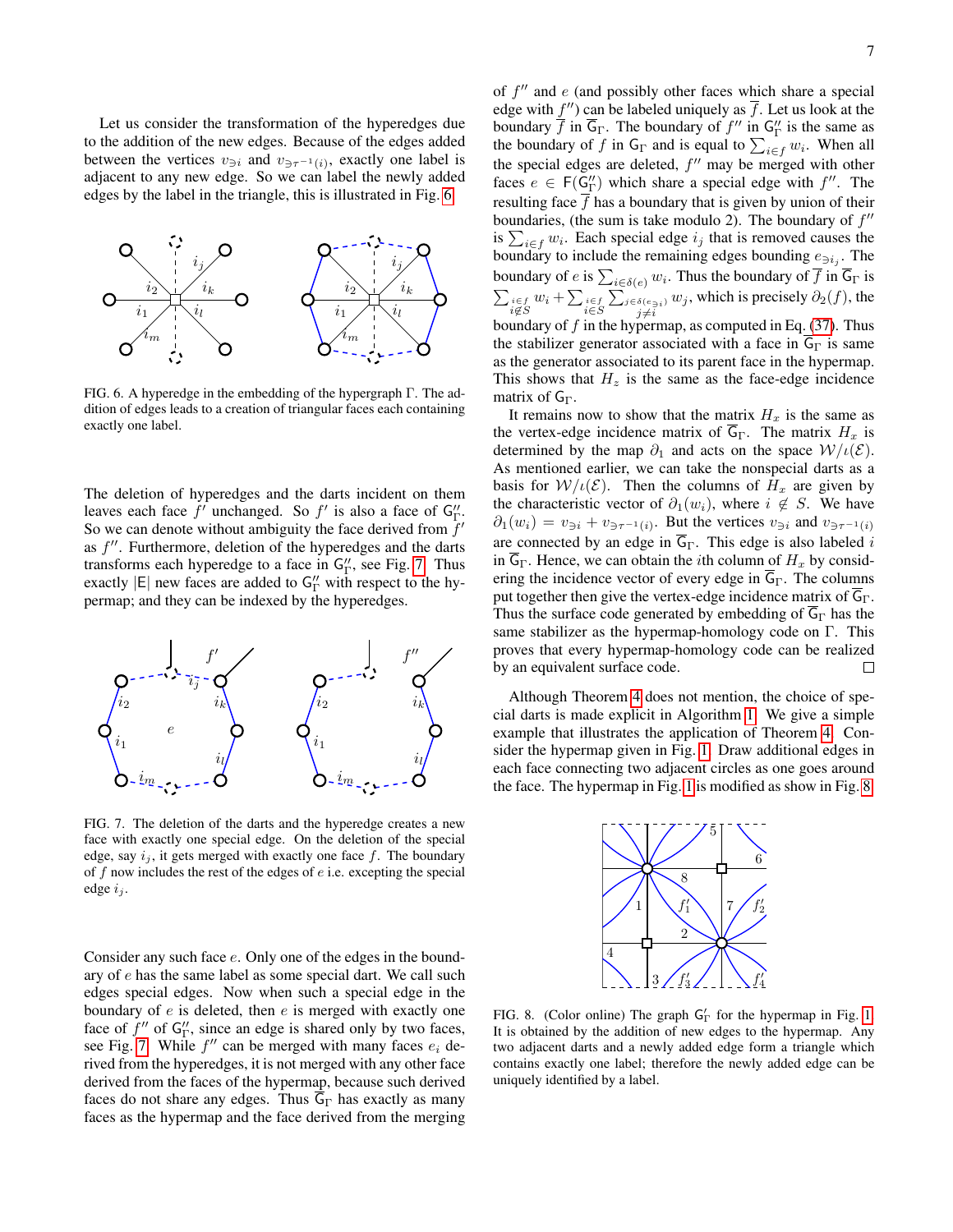Let us consider the transformation of the hyperedges due to the addition of the new edges. Because of the edges added between the vertices  $v_{\ni i}$  and  $v_{\ni \tau^{-1}(i)}$ , exactly one label is adjacent to any new edge. So we can label the newly added edges by the label in the triangle, this is illustrated in Fig. [6.](#page-6-0)



FIG. 6. A hyperedge in the embedding of the hypergraph Γ. The addition of edges leads to a creation of triangular faces each containing exactly one label.

<span id="page-6-0"></span>The deletion of hyperedges and the darts incident on them leaves each face f' unchanged. So f' is also a face of  $G''_{\Gamma}$ . So we can denote without ambiguity the face derived from  $f'$ as  $f''$ . Furthermore, deletion of the hyperedges and the darts transforms each hyperedge to a face in  $G''_{\Gamma}$ , see Fig. [7.](#page-6-1) Thus exactly  $|E|$  new faces are added to  $G''_{\Gamma}$  with respect to the hypermap; and they can be indexed by the hyperedges.



FIG. 7. The deletion of the darts and the hyperedge creates a new face with exactly one special edge. On the deletion of the special edge, say  $i_j$ , it gets merged with exactly one face f. The boundary of  $f$  now includes the rest of the edges of  $e$  i.e. excepting the special edge  $i_j$ .

<span id="page-6-1"></span>Consider any such face e. Only one of the edges in the boundary of e has the same label as some special dart. We call such edges special edges. Now when such a special edge in the boundary of  $e$  is deleted, then  $e$  is merged with exactly one face of  $f''$  of  $G''_{\Gamma}$ , since an edge is shared only by two faces, see Fig. [7.](#page-6-1) While  $f''$  can be merged with many faces  $e_i$  derived from the hyperedges, it is not merged with any other face derived from the faces of the hypermap, because such derived faces do not share any edges. Thus  $G_{\Gamma}$  has exactly as many faces as the hypermap and the face derived from the merging

of  $f''$  and  $e$  (and possibly other faces which share a special edge with  $f''$ ) can be labeled uniquely as f. Let us look at the boundary f in  $G_{\Gamma}$ . The boundary of  $f''$  in  $G''_{\Gamma}$  is the same as the boundary of f in  $G_{\Gamma}$  and is equal to  $\sum_{i \in f} w_i$ . When all the special edges are deleted,  $f''$  may be merged with other faces  $e \in F(G_T'')$  which share a special edge with  $f''$ . The resulting face  $f$  has a boundary that is given by union of their boundaries, (the sum is take modulo 2). The boundary of  $f''$ is  $\sum_{i \in f} w_i$ . Each special edge  $i_j$  that is removed causes the boundary to include the remaining edges bounding  $e_{\ni i_j}$ . The boundary of e is  $\sum_{i \in \delta(e)} w_i$ . Thus the boundary of f in  $\overline{G_{\Gamma}}$  is  $\sum_{\substack{i\in f\ i\not\in S}}$  $w_i + \sum_{\substack{i \in f \\ i \in S}}$  $\sum_{\substack{j \in \delta(e_{\ni i}) \\ j \neq i}}$  $w_j$ , which is precisely  $\partial_2(f)$ , the boundary of  $f$  in the hypermap, as computed in Eq. [\(37\)](#page-5-2). Thus the stabilizer generator associated with a face in  $G_{\Gamma}$  is same as the generator associated to its parent face in the hypermap. This shows that  $H_z$  is the same as the face-edge incidence matrix of  $G_{\Gamma}$ .

It remains now to show that the matrix  $H_x$  is the same as the vertex-edge incidence matrix of  $\overline{G}_{\Gamma}$ . The matrix  $H_x$  is determined by the map  $\partial_1$  and acts on the space  $W/\iota(\mathcal{E})$ . As mentioned earlier, we can take the nonspecial darts as a basis for  $W/\iota(\mathcal{E})$ . Then the columns of  $H_x$  are given by the characteristic vector of  $\partial_1(w_i)$ , where  $i \notin S$ . We have  $\partial_1(w_i) = v_{\ni} + v_{\ni} - v_{(i)}$ . But the vertices  $v_{\ni}$  and  $v_{\ni} - v_{(i)}$ are connected by an edge in  $\overline{G}_{\Gamma}$ . This edge is also labeled *i* in  $G_{\Gamma}$ . Hence, we can obtain the *i*th column of  $H_x$  by considering the incidence vector of every edge in  $G_\Gamma$ . The columns put together then give the vertex-edge incidence matrix of  $G_{\Gamma}$ . Thus the surface code generated by embedding of  $G_{\Gamma}$  has the same stabilizer as the hypermap-homology code on Γ. This proves that every hypermap-homology code can be realized by an equivalent surface code.  $\Box$ 

Although Theorem [4](#page-5-3) does not mention, the choice of special darts is made explicit in Algorithm [1.](#page-5-0) We give a simple example that illustrates the application of Theorem [4.](#page-5-3) Consider the hypermap given in Fig. [1.](#page-1-0) Draw additional edges in each face connecting two adjacent circles as one goes around the face. The hypermap in Fig. [1](#page-1-0) is modified as show in Fig. [8.](#page-6-2)

<span id="page-6-2"></span>

FIG. 8. (Color online) The graph  $G'_{\Gamma}$  for the hypermap in Fig. [1.](#page-1-0) It is obtained by the addition of new edges to the hypermap. Any two adjacent darts and a newly added edge form a triangle which contains exactly one label; therefore the newly added edge can be uniquely identified by a label.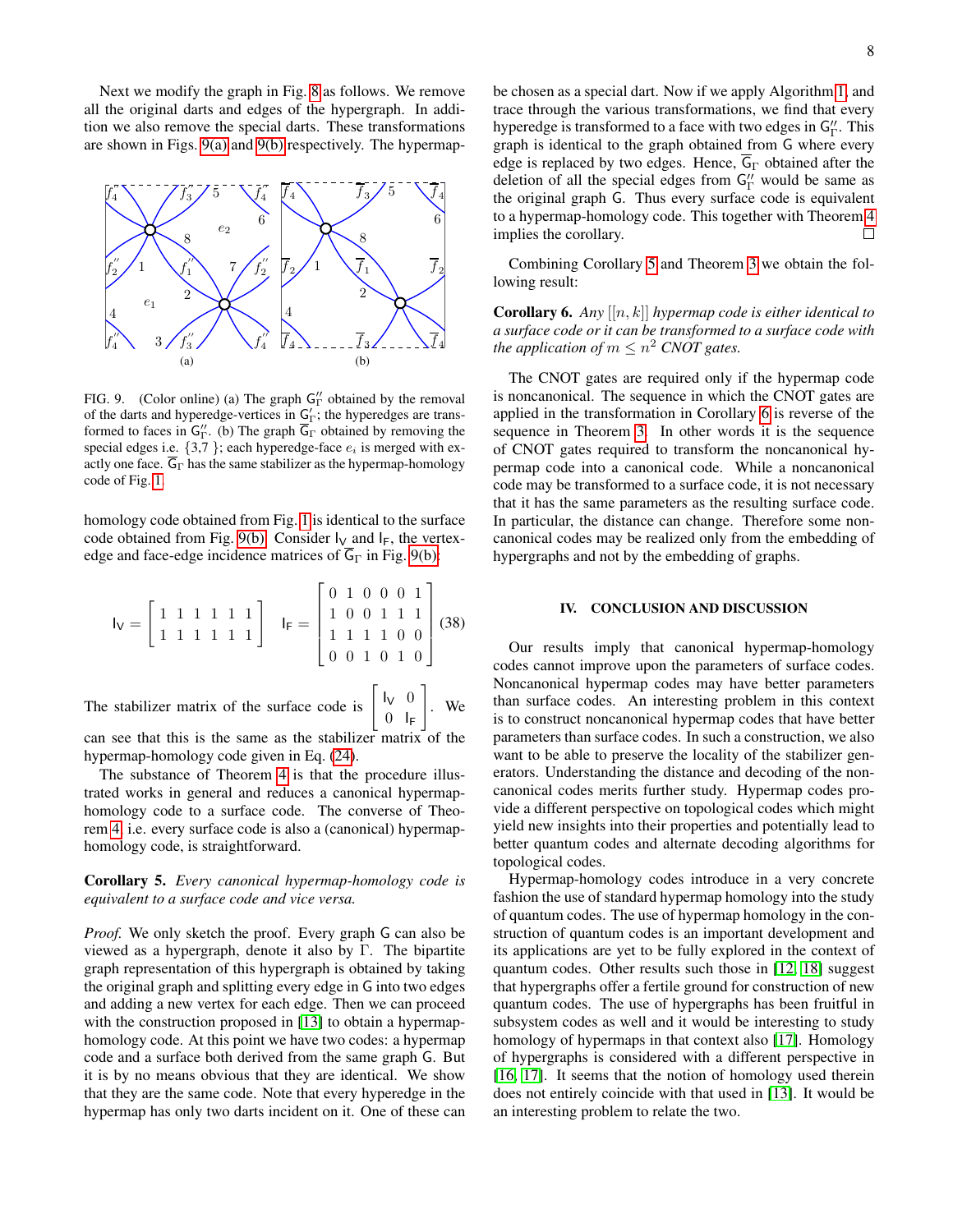Next we modify the graph in Fig. [8](#page-6-2) as follows. We remove all the original darts and edges of the hypergraph. In addition we also remove the special darts. These transformations are shown in Figs. [9\(a\)](#page-7-0) and [9\(b\)](#page-7-1) respectively. The hypermap-

<span id="page-7-0"></span>

<span id="page-7-1"></span>FIG. 9. (Color online) (a) The graph  $G''_{\Gamma}$  obtained by the removal of the darts and hyperedge-vertices in  $G'_{\Gamma}$ ; the hyperedges are transformed to faces in  $G''_{\Gamma}$ . (b) The graph  $\overline{G}_{\Gamma}$  obtained by removing the special edges i.e.  $\{3,7\}$ ; each hyperedge-face  $e_i$  is merged with exactly one face.  $G_{\Gamma}$  has the same stabilizer as the hypermap-homology code of Fig. [1.](#page-1-0)

homology code obtained from Fig. [1](#page-1-0) is identical to the surface code obtained from Fig. [9\(b\).](#page-7-1) Consider  $I_V$  and  $I_F$ , the vertexedge and face-edge incidence matrices of  $G_{\Gamma}$  in Fig. [9\(b\):](#page-7-1)

$$
I_V = \begin{bmatrix} 1 & 1 & 1 & 1 & 1 & 1 \\ 1 & 1 & 1 & 1 & 1 & 1 \\ 1 & 1 & 1 & 1 & 1 & 1 \end{bmatrix} \quad I_F = \begin{bmatrix} 0 & 1 & 0 & 0 & 0 & 1 \\ 1 & 0 & 0 & 1 & 1 & 1 \\ 1 & 1 & 1 & 1 & 0 & 0 \\ 0 & 0 & 1 & 0 & 1 & 0 \end{bmatrix} (38)
$$

The stabilizer matrix of the surface code is  $\begin{bmatrix} I_V & 0 \\ 0 & I_V \end{bmatrix}$  $0$  l<sub>F</sub> 1 . We

can see that this is the same as the stabilizer matrix of the hypermap-homology code given in Eq. [\(24\)](#page-2-5).

The substance of Theorem [4](#page-5-3) is that the procedure illustrated works in general and reduces a canonical hypermaphomology code to a surface code. The converse of Theorem [4,](#page-5-3) i.e. every surface code is also a (canonical) hypermaphomology code, is straightforward.

# <span id="page-7-2"></span>Corollary 5. *Every canonical hypermap-homology code is equivalent to a surface code and vice versa.*

*Proof.* We only sketch the proof. Every graph G can also be viewed as a hypergraph, denote it also by Γ. The bipartite graph representation of this hypergraph is obtained by taking the original graph and splitting every edge in G into two edges and adding a new vertex for each edge. Then we can proceed with the construction proposed in [\[13\]](#page-8-9) to obtain a hypermaphomology code. At this point we have two codes: a hypermap code and a surface both derived from the same graph G. But it is by no means obvious that they are identical. We show that they are the same code. Note that every hyperedge in the hypermap has only two darts incident on it. One of these can

be chosen as a special dart. Now if we apply Algorithm [1,](#page-5-0) and trace through the various transformations, we find that every hyperedge is transformed to a face with two edges in  $G''_{\Gamma}$ . This graph is identical to the graph obtained from G where every edge is replaced by two edges. Hence,  $G_{\Gamma}$  obtained after the deletion of all the special edges from  $G''_{\Gamma}$  would be same as the original graph G. Thus every surface code is equivalent to a hypermap-homology code. This together with Theorem [4](#page-5-3) implies the corollary.  $\Box$ 

Combining Corollary [5](#page-7-2) and Theorem [3](#page-4-1) we obtain the following result:

<span id="page-7-3"></span>Corollary 6. *Any* [[n, k]] *hypermap code is either identical to a surface code or it can be transformed to a surface code with the application of*  $m \leq n^2$  *CNOT gates.* 

The CNOT gates are required only if the hypermap code is noncanonical. The sequence in which the CNOT gates are applied in the transformation in Corollary [6](#page-7-3) is reverse of the sequence in Theorem [3.](#page-4-1) In other words it is the sequence of CNOT gates required to transform the noncanonical hypermap code into a canonical code. While a noncanonical code may be transformed to a surface code, it is not necessary that it has the same parameters as the resulting surface code. In particular, the distance can change. Therefore some noncanonical codes may be realized only from the embedding of hypergraphs and not by the embedding of graphs.

# IV. CONCLUSION AND DISCUSSION

Our results imply that canonical hypermap-homology codes cannot improve upon the parameters of surface codes. Noncanonical hypermap codes may have better parameters than surface codes. An interesting problem in this context is to construct noncanonical hypermap codes that have better parameters than surface codes. In such a construction, we also want to be able to preserve the locality of the stabilizer generators. Understanding the distance and decoding of the noncanonical codes merits further study. Hypermap codes provide a different perspective on topological codes which might yield new insights into their properties and potentially lead to better quantum codes and alternate decoding algorithms for topological codes.

Hypermap-homology codes introduce in a very concrete fashion the use of standard hypermap homology into the study of quantum codes. The use of hypermap homology in the construction of quantum codes is an important development and its applications are yet to be fully explored in the context of quantum codes. Other results such those in [\[12,](#page-8-11) [18\]](#page-8-7) suggest that hypergraphs offer a fertile ground for construction of new quantum codes. The use of hypergraphs has been fruitful in subsystem codes as well and it would be interesting to study homology of hypermaps in that context also [\[17\]](#page-8-16). Homology of hypergraphs is considered with a different perspective in [\[16,](#page-8-17) [17\]](#page-8-16). It seems that the notion of homology used therein does not entirely coincide with that used in [\[13\]](#page-8-9). It would be an interesting problem to relate the two.